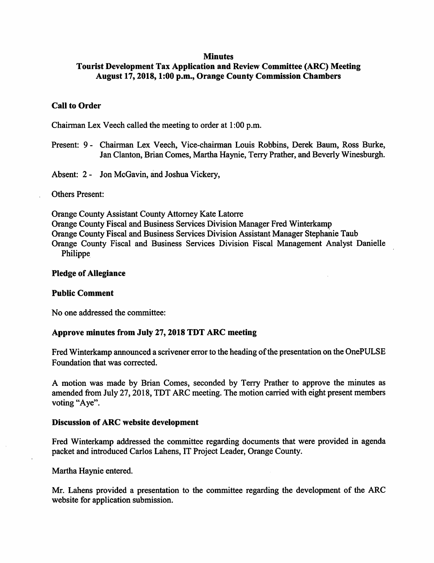#### **Minutes**

# Tourist Development Tax Application and Review Committee (ARC) Meeting August 17,2018,1:00 p.m.. Orange County Commission Chambers

### Call to Order

Chairman Lex Veech called the meeting to order at 1:00 p.m.

Present: 9 - Chairman Lex Veech, Vice-chairman Louis Rohbins, Derek Baum, Ross Burke, Jan Clanton, Brian Comes, Martha Haynie, Terry Prather, and Beverly Winesburgh.

Absent: 2 - Jon McGavin, and Joshua Vickery,

Others Present:

Orange County Assistant County Attorney Kate Latorre Orange County Fiscal and Business Services Division Manager Fred Winterkamp Orange County Fiscal and Business Services Division Assistant Manager Stephanie Taub Orange County Fiscal and Business Services Division Fiscal Management Analyst Danielle Philippe

#### Pledge of Allegiance

#### Public Comment

No one addressed the committee:

#### Approve minutes from July 27,2018 TDT ARC meeting

Fred Winterkamp announced a scrivener error to the heading of the presentation on the OnePULSE Foundation that was corrected.

A motion was made by Brian Comes, seconded by Terry Prather to approve the minutes as amended from July 27,2018, TDT ARC meeting. The motion carried with eight present members voting "Aye".

#### Discussion of ARC website development

Fred Winterkamp addressed the committee regarding documents that were provided in agenda packet and introduced Carlos Lahens, IT Project Leader, Orange County.

Martha Haynie entered.

Mr. Lahens provided a presentation to the committee regarding the development of the ARC website for application submission.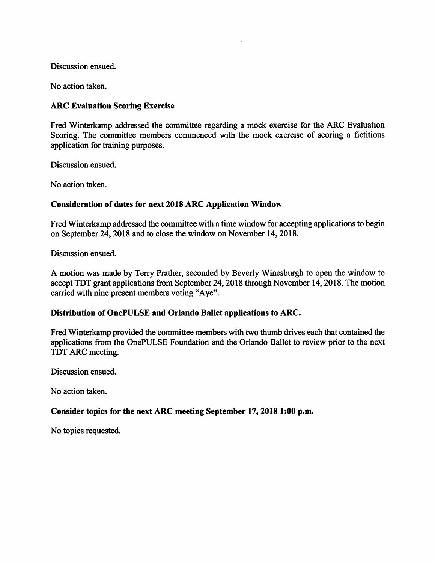Discussion ensued.

No action taken.

## ARC Evaluation Scoring Exercise

Fred Winterkamp addressed the committee regarding a mock exercise for the ARC Evaluation Scoring. The committee members commenced with the mock exercise of scoring a fictitious application for training purposes.

Discussion ensued.

No action taken.

## Consideration of dates for next 2018 ARC Application Window

Fred Winterkamp addressed the committee with a time window for accepting applications to begin on September 24,2018 and to close the window on November 14,2018.

Discussion ensued.

A motion was made by Terry Prather, seconded by Beverly Winesburgh to open the window to accept TDT grant applications from September 24,2018 through November 14,2018. The motion carried with nine present members voting "Aye".

## Distribution of OnePULSE and Orlando Ballet applications to ARC.

Fred Winterkamp provided the committee members with two thumb drives each that contained the applications from the OnePULSE Foundation and the Orlando Ballet to review prior to the next TDT ARC meeting.

Discussion ensued.

No action taken.

## Consider topics for the next ARC meeting September 17,2018 1:00 p.m.

No topics requested.